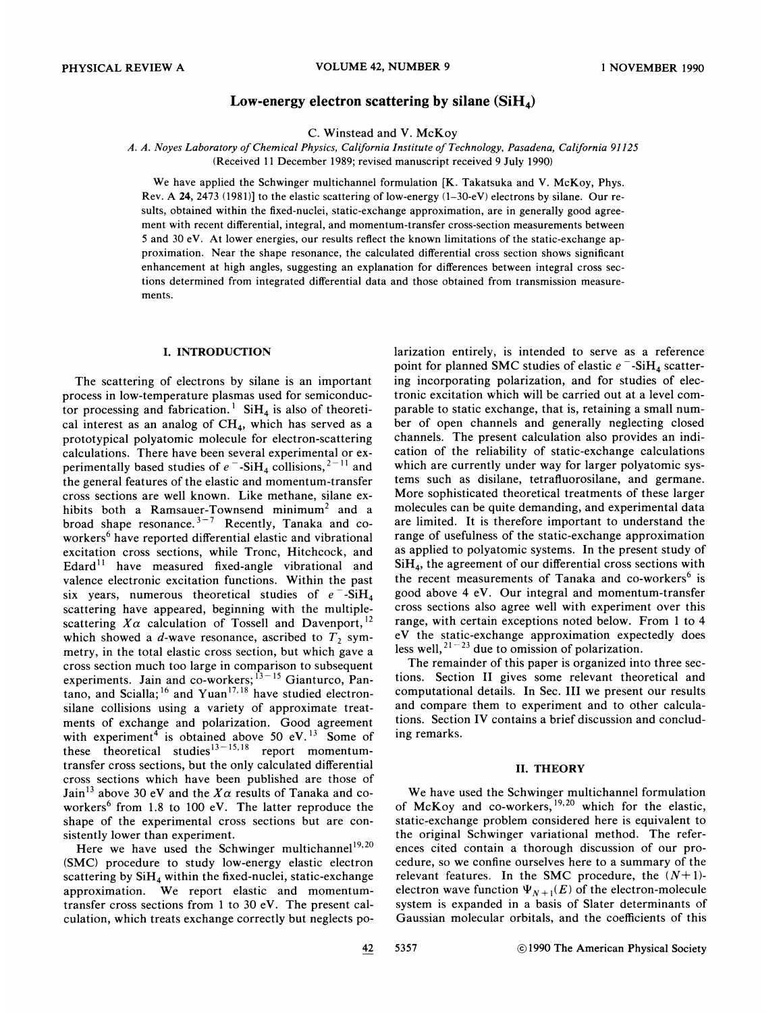# Low-energy electron scattering by silane  $(SiH_4)$

C. Winstead and V. McKoy

A. A. Noyes Laboratory of Chemical Physics, California Institute of Technology, Pasadena, California 91125 (Received 11 December 1989; revised manuscript received 9 July 1990)

We have applied the Schwinger multichannel formulation [K. Takatsuka and V. McKoy, Phys. Rev. A 24, 2473 (1981)] to the elastic scattering of low-energy  $(1-30-eV)$  electrons by silane. Our results, obtained within the fixed-nuclei, static-exchange approximation, are in generally good agreement with recent differential, integral, and momentum-transfer cross-section measurements between 5 and 30 eV. At lower energies, our results reflect the known limitations of the static-exchange approximation. Near the shape resonance, the calculated differential cross section shows significant enhancement at high angles, suggesting an explanation for differences between integral cross sections determined from integrated differential data and those obtained from transmission measurements.

## I. INTRODUCTION

The scattering of electrons by silane is an important process in low-temperature plasmas used for semiconductor processing and fabrication.<sup>1</sup> SiH<sub>4</sub> is also of theoretical interest as an analog of  $CH<sub>4</sub>$ , which has served as a prototypical polyatomic molecule for electron-scattering calculations. There have been several experimental or excalculations. There have been several experimental or experimentally based studies of  $e^-$ -SiH<sub>4</sub> collisions,<sup>2-11</sup> and the general features of the elastic and momentum-transfer cross sections are well known. Like methane, silane exhibits both a Ramsauer-Townsend minimum<sup>2</sup> and a broad shape resonance.<sup>3-7</sup> Recently, Tanaka and coworkers<sup>6</sup> have reported differential elastic and vibrational excitation cross sections, while Tronc, Hitchcock, and Edard $<sup>11</sup>$  have measured fixed-angle vibrational and</sup> valence electronic excitation functions. Within the past six years, numerous theoretical studies of  $e^-$ -SiH<sub>4</sub> scattering have appeared, beginning with the multiplescattering  $X\alpha$  calculation of Tossell and Davenport,  $^{12}$ which showed a d-wave resonance, ascribed to  $T_2$  symmetry, in the total elastic cross section, but which gave a cross section much too large in comparison to subsequent experiments. Jain and co-workers; <sup>i3-15</sup> Gianturco, Pantano, and Scialla;  $^{16}$  and Yuan<sup>17,18</sup> have studied electron silane collisions using a variety of approximate treatments of exchange and polarization. Good agreement with experiment<sup>4</sup> is obtained above 50 eV.<sup>13</sup> Some of these theoretical studies<sup>13–15,18</sup> report momentumtransfer cross sections, but the only calculated differential cross sections which have been published are those of Jain<sup>13</sup> above 30 eV and the  $X\alpha$  results of Tanaka and coworkers<sup>6</sup> from 1.8 to 100 eV. The latter reproduce the shape of the experimental cross sections but are consistently lower than experiment.

Here we have used the Schwinger multichannel<sup>19,20</sup> (SMC) procedure to study low-energy elastic electron scattering by  $SiH_4$  within the fixed-nuclei, static-exchange approximation. We report elastic and momentumtransfer cross sections from <sup>1</sup> to 30 eV. The present calculation, which treats exchange correctly but neglects polarization entirely, is intended to serve as a reference point for planned SMC studies of elastic  $e^-$ -SiH<sub>4</sub> scattering incorporating polarization, and for studies of electronic excitation which will be carried out at a level comparable to static exchange, that is, retaining a small number of open channels and generally neglecting closed channels. The present calculation also provides an indication of the reliability of static-exchange calculations which are currently under way for larger polyatomic systems such as disilane, tetrafluorosilane, and germane. More sophisticated theoretical treatments of these larger molecules can be quite demanding, and experimental data are limited. It is therefore important to understand the range of usefulness of the static-exchange approximation as applied to polyatomic systems. In the present study of  $SiH<sub>4</sub>$ , the agreement of our differential cross sections with the recent measurements of Tanaka and co-workers<sup> $6$ </sup> is good above 4 eV. Our integral and momentum-transfer cross sections also agree well with experiment over this range, with certain exceptions noted below. From <sup>1</sup> to 4 eV the static-exchange approximation expectedly does less well,  $2^{1-23}$  due to omission of polarization

The remainder of this paper is organized into three sections. Section II gives some relevant theoretical and computational details. In Sec. III we present our results and compare them to experiment and to other calculations. Section IV contains a brief discussion and concluding remarks.

## II. THEORY

We have used the Schwinger multichannel formulation of McKoy and co-workers,  $19,20$  which for the elastic static-exchange problem considered here is equivalent to the original Schwinger variational method. The references cited contain a thorough discussion of our procedure, so we confine ourselves here to a summary of the relevant features. In the SMC procedure, the  $(N+1)$ electron wave function  $\Psi_{N+1}(E)$  of the electron-molecule system is expanded in a basis of Slater determinants of Gaussian molecular orbitals, and the coefficients of this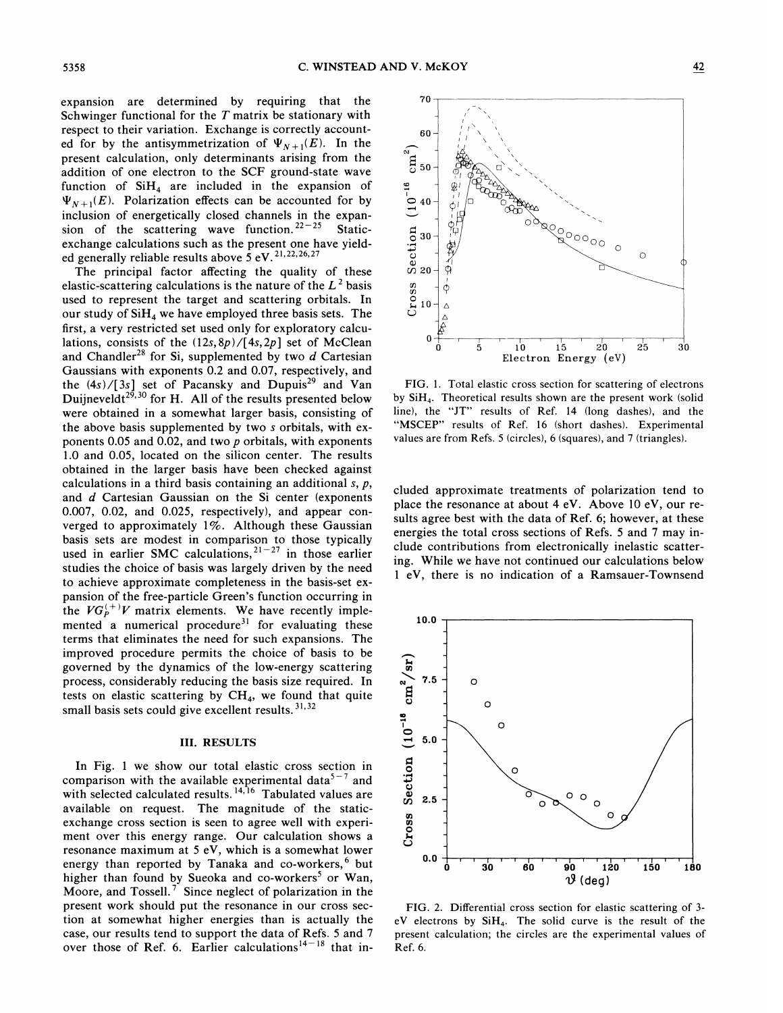expansion are determined by requiring that the Schwinger functional for the  $T$  matrix be stationary with respect to their variation. Exchange is correctly accounted for by the antisymmetrization of  $\Psi_{N+1}(E)$ . In the present calculation, only determinants arising from the addition of one electron to the SCF ground-state wave function of  $SiH<sub>4</sub>$  are included in the expansion of  $\Psi_{N+1}(E)$ . Polarization effects can be accounted for by inclusion of energetically closed channels in the expansion of the scattering wave function.  $22 - 25$  Staticexchange calculations such as the present one have yielded generally reliable results above  $5$  eV.  $^{21,22,26,27}$ 

The principal factor affecting the quality of these elastic-scattering calculations is the nature of the  $L^2$  basis used to represent the target and scattering orbitals. In our study of  $SiH<sub>4</sub>$  we have employed three basis sets. The first, a very restricted set used only for exploratory calculations, consists of the  $(12s, 8p) / [4s, 2p]$  set of McClean and Chandler<sup>28</sup> for Si, supplemented by two  $d$  Cartesian Gaussians with exponents 0.2 and 0.07, respectively, and the  $(4s)/[3s]$  set of Pacansky and Dupuis<sup>29</sup> and Van Duijneveldt<sup>29,30</sup> for H. All of the results presented below were obtained in a somewhat larger basis, consisting of the above basis supplemented by two s orbitals, with exponents 0.05 and 0.02, and two p orbitals, with exponents 1.0 and 0.05, located on the silicon center. The results obtained in the larger basis have been checked against calculations in a third basis containing an additional  $s, p$ , and d Cartesian Gaussian on the Si center (exponents 0.007, 0.02, and 0.025, respectively), and appear converged to approximately  $1\%$ . Although these Gaussian basis sets are modest in comparison to those typically used in earlier SMC calculations,  $21 - 27$  in those earlier studies the choice of basis was largely driven by the need to achieve approximate completeness in the basis-set expansion of the free-particle Green's function occurring in the  $VG_P^{(+)}V$  matrix elements. We have recently implemented a numerical procedure<sup>31</sup> for evaluating these terms that eliminates the need for such expansions. The improved procedure permits the choice of basis to be governed by the dynamics of the low-energy scattering process, considerably reducing the basis size required. In tests on elastic scattering by  $CH_4$ , we found that quite small basis sets could give excellent results.<sup>31,</sup>

### III. RESULTS

In Fig. <sup>1</sup> we show our total elastic cross section in comparison with the available experimental data<sup>5-7</sup> and<br>with selected calculated results.<sup>14,16</sup> Tabulated values are available on request. The magnitude of the staticexchange cross section is seen to agree well with experiment over this energy range. Our calculation shows a resonance maximum at 5 eV, which is a somewhat lower energy than reported by Tanaka and  $co\text{-}works$ , but higher than found by Sueoka and co-workers<sup>5</sup> or Wan, Moore, and Tossell.<sup>7</sup> Since neglect of polarization in the present work should put the resonance in our cross section at somewhat higher energies than is actually the case, our results tend to support the data of Refs. 5 and 7 over those of Ref. 6. Earlier calculations<sup>14-18</sup> that in-



FIG. 1. Total elastic cross section for scattering of electrons by SiH4. Theoretical results shown are the present work (solid line), the "JT" results of Ref. <sup>14</sup> (long dashes), and the "MSCEP" results of Ref. 16 (short dashes). Experimental values are from Refs. 5 (circles), 6 (squares), and 7 (triangles).

eluded approximate treatments of polarization tend to place the resonance at about 4 eV. Above 10 eV, our results agree best with the data of Ref. 6; however, at these energies the total cross sections of Refs. 5 and 7 may include contributions from electronically inelastic scattering. While we have not continued our calculations below <sup>1</sup> eV, there is no indication of a Ramsauer-Townsend



FIG. 2. Differential cross section for elastic scattering of 3 eV electrons by SiH4. The solid curve is the result of the present calculation; the circles are the experimental values of Ref. 6.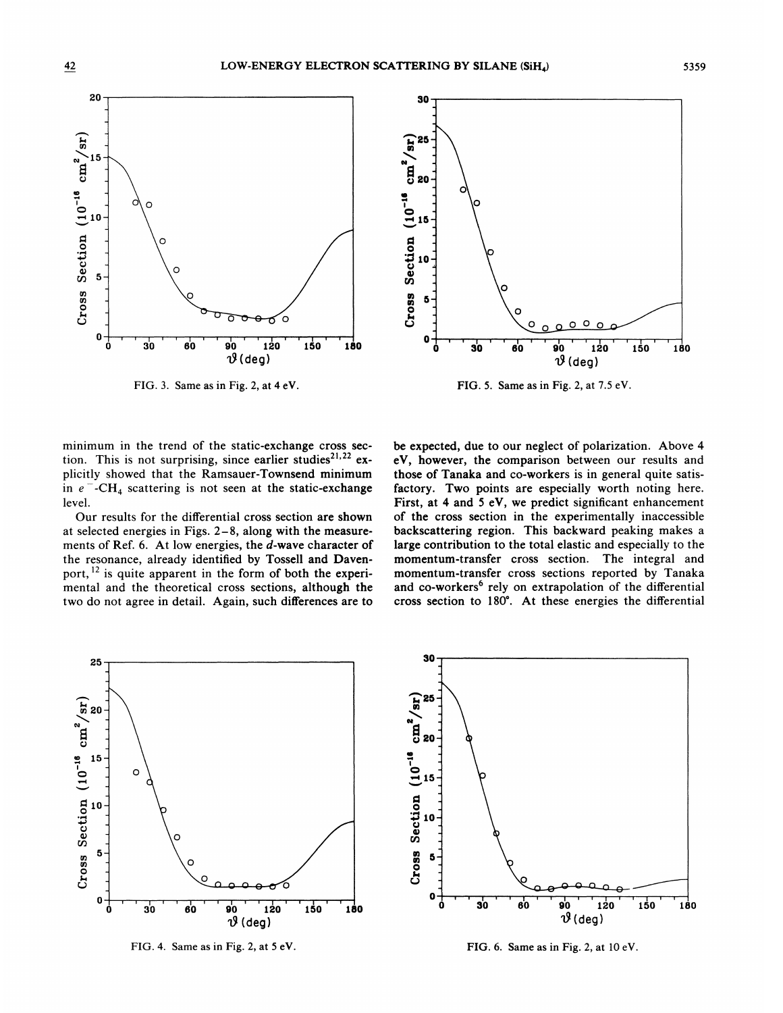

FIG. 3. Same as in Fig. 2, at 4 eV.



FIG. 5. Same as in Fig. 2, at 7.5 eV.

minimum in the trend of the static-exchange cross section. This is not surprising, since earlier studies<sup>21,22</sup> explicitly showed that the Ramsauer-Townsend minimum in  $e^-$ -CH<sub>4</sub> scattering is not seen at the static-exchange level.

Our results for the differential cross section are shown at selected energies in Figs. 2—8, along with the measurements of Ref. 6. At low energies, the d-wave character of the resonance, already identified by Tossell and Davenport, <sup>12</sup> is quite apparent in the form of both the experimental and the theoretical cross sections, although the two do not agree in detail. Again, such differences are to

be expected, due to our neglect of polarization. Above 4 eV, however, the comparison between our results and those of Tanaka and co-workers is in general quite satisfactory. Two points are especially worth noting here. First, at 4 and 5 eV, we predict significant enhancement of the cross section in the experimentally inaccessible backscattering region. This backward peaking makes a large contribution to the total elastic and especially to the momentum-transfer cross section. The integral and momentum-transfer cross sections reported by Tanaka and co-workers<sup>6</sup> rely on extrapolation of the differential cross section to 180'. At these energies the differential



FIG. 4. Same as in Fig. 2, at 5 eV. FIG. 6. Same as in Fig. 2, at 10 eV.

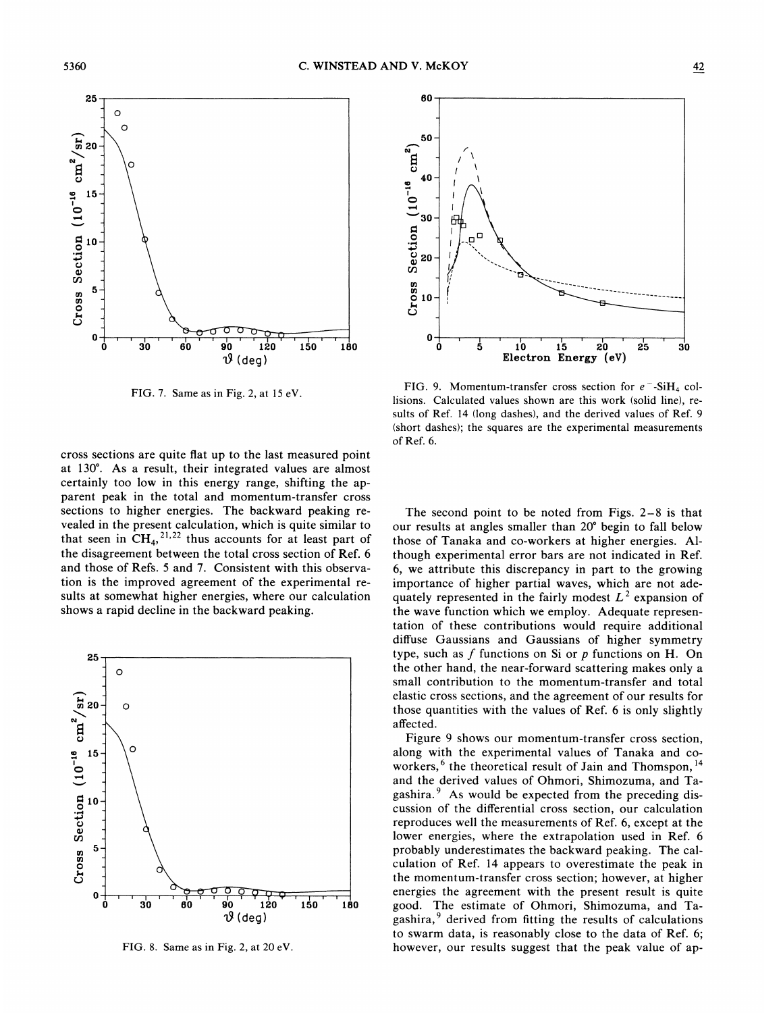

FIG. 7. Same as in Fig. 2, at 15 eV.

cross sections are quite Bat up to the last measured point at 130'. As a result, their integrated values are almost certainly too low in this energy range, shifting the apparent peak in the total and momentum-transfer cross sections to higher energies. The backward peaking revealed in the present calculation, which is quite similar to that seen in  $CH<sub>4</sub>$ , ' $t^{22}$  thus accounts for at least part of the disagreement between the total cross section of Ref. 6 and those of Refs. 5 and 7. Consistent with this observation is the improved agreement of the experimental results at somewhat higher energies, where our calculation shows a rapid decline in the backward peaking.



FIG. 8. Same as in Fig. 2, at 20 eV.



FIG. 9. Momentum-transfer cross section for  $e^-$ -SiH<sub>4</sub> collisions. Calculated values shown are this work (solid line), results of Ref. 14 (long dashes), and the derived values of Ref. 9 (short dashes); the squares are the experimental measurements of Ref. 6.

The second point to be noted from Figs. 2—<sup>8</sup> is that our results at angles smaller than 20' begin to fall below those of Tanaka and co-workers at higher energies. Although experimental error bars are not indicated in Ref. 6, we attribute this discrepancy in part to the growing importance of higher partial waves, which are not adequately represented in the fairly modest  $L^2$  expansion of the wave function which we employ. Adequate representation of these contributions would require additional diffuse Gaussians and Gaussians of higher symmetry type, such as  $f$  functions on Si or  $p$  functions on H. On the other hand, the near-forward scattering makes only a small contribution to the momentum-transfer and total elastic cross sections, and the agreement of our results for those quantities with the values of Ref. 6 is only slightly affected.

Figure 9 shows our momentum-transfer cross section, along with the experimental values of Tanaka and coworkers,  $6$  the theoretical result of Jain and Thomspon,  $14$ and the derived values of Ohrnori, Shirnozurna, and Tagashira. $9$  As would be expected from the preceding discussion of the differential cross section, our calculation reproduces well the measurements of Ref. 6, except at the lower energies, where the extrapolation used in Ref. 6 probably underestimates the backward peaking. The calculation of Ref. 14 appears to overestimate the peak in the momentum-transfer cross section; however, at higher energies the agreement with the present result is quite good. The estimate of Ohmori, Shimozuma, and Tagashira, $9$  derived from fitting the results of calculations to swarm data, is reasonably close to the data of Ref. 6; however, our results suggest that the peak value of ap-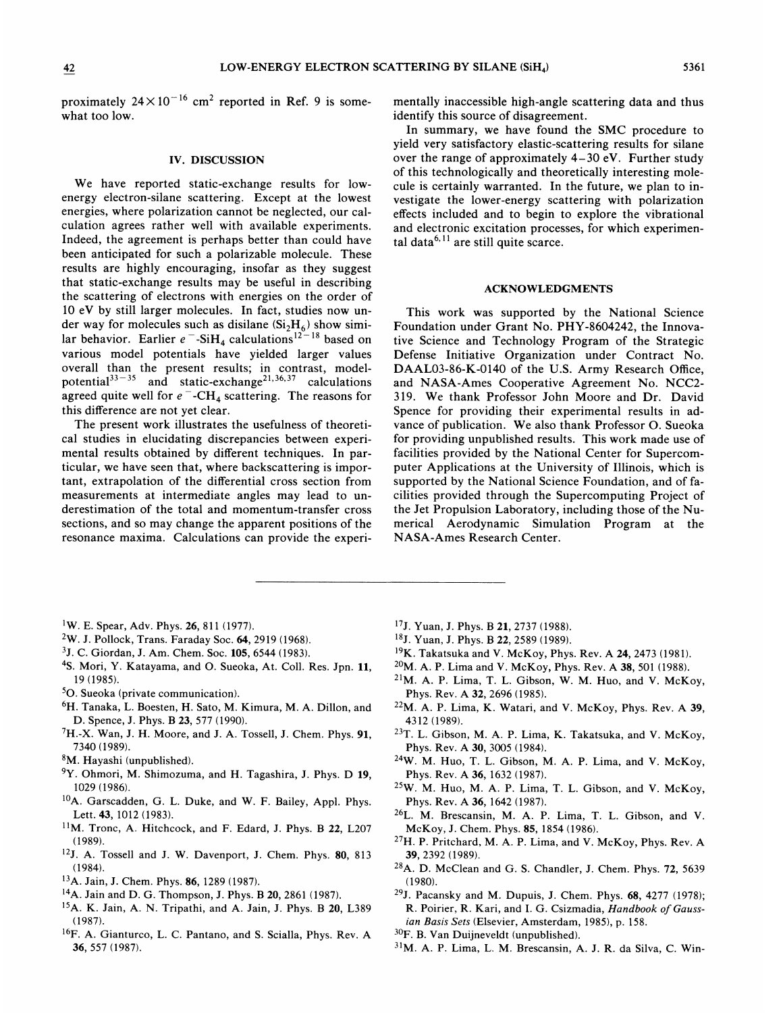proximately  $24 \times 10^{-16}$  cm<sup>2</sup> reported in Ref. 9 is some what too low.

#### IV. DISCUSSION

We have reported static-exchange results for lowenergy electron-silane scattering. Except at the lowest energies, where polarization cannot be neglected, our calculation agrees rather well with available experiments. Indeed, the agreement is perhaps better than could have been anticipated for such a polarizable molecule. These results are highly encouraging, insofar as they suggest that static-exchange results may be useful in describing the scattering of electrons with energies on the order of 10 eV by still larger molecules. In fact, studies now under way for molecules such as disilane  $(Si<sub>2</sub>H<sub>6</sub>)$  show similar behavior. Earlier  $e^-$ -Si $H_4$  calculations<sup>12–18</sup> based on various model potentials have yielded larger values overall than the present results; in contrast, model by each train the present results, in contrast, mode<br>potential  $3^{3-35}$  and static-exchange<sup>21,36,37</sup> calculation agreed quite well for  $e^-$ -CH<sub>4</sub> scattering. The reasons for this difference are not yet clear.

The present work illustrates the usefulness of theoretical studies in elucidating discrepancies between experimental results obtained by different techniques. In particular, we have seen that, where backscattering is important, extrapolation of the differential cross section from measurements at intermediate angles may lead to underestimation of the total and momentum-transfer cross sections, and so may change the apparent positions of the resonance maxima. Calculations can provide the experi-

mentally inaccessible high-angle scattering data and thus identify this source of disagreement.

In summary, we have found the SMC procedure to yield very satisfactory elastic-scattering results for silane over the range of approximately 4—30 eV. Further study of this technologically and theoretically interesting molecule is certainly warranted. In the future, we plan to investigate the lower-energy scattering with polarization effects included and to begin to explore the vibrational and electronic excitation processes, for which experimental data $^{6,11}$  are still quite scarce.

## ACKNOWLEDGMENTS

This work was supported by the National Science Foundation under Grant No. PHY-8604242, the Innovative Science and Technology Program of the Strategic Defense Initiative Organization under Contract No. DAAL03-86-K-0140 of the U.S. Army Research Office, and NASA-Ames Cooperative Agreement No. NCC2- 319. We thank Professor John Moore and Dr. David Spence for providing their experimental results in advance of publication. We also thank Professor O. Sueoka for providing unpublished results. This work made use of facilities provided by the National Center for Supercomputer Applications at the University of Illinois, which is supported by the National Science Foundation, and of facilities provided through the Supercomputing Project of the Jet Propulsion Laboratory, including those of the Numerical Aerodynamic Simulation Program at the NASA-Ames Research Center.

- $1W.$  E. Spear, Adv. Phys. 26, 811 (1977).
- W. J. Pollock, Trans. Faraday Soc. 64, 2919 (1968).
- 3J. C. Giordan, J. Am. Chem. Soc. 105, 6544 (1983).
- <sup>4</sup>S. Mori, Y. Katayama, and O. Sueoka, At. Coll. Res. Jpn. 11, 19 (1985).
- 50. Sueoka (private communication).
- <sup>6</sup>H. Tanaka, L. Boesten, H. Sato, M. Kimura, M. A. Dillon, and D. Spence, J. Phys. B23, 577 (1990).
- $7H.-X.$  Wan, J. H. Moore, and J. A. Tossell, J. Chem. Phys. 91, 7340 (1989).
- 8M. Hayashi (unpublished).
- <sup>9</sup>Y. Ohmori, M. Shimozuma, and H. Tagashira, J. Phys. D 19, 1029 (1986).
- <sup>10</sup>A. Garscadden, G. L. Duke, and W. F. Bailey, Appl. Phys. Lett. 43, 1012 (1983).
- <sup>11</sup>M. Tronc, A. Hitchcock, and F. Edard, J. Phys. B 22, L207 (1989).
- <sup>12</sup>J. A. Tossell and J. W. Davenport, J. Chem. Phys. 80, 813 (1984).
- <sup>13</sup>A. Jain, J. Chem. Phys. **86**, 1289 (1987).
- <sup>14</sup>A. Jain and D. G. Thompson, J. Phys. B 20, 2861 (1987).
- <sup>15</sup>A. K. Jain, A. N. Tripathi, and A. Jain, J. Phys. B 20, L389 (1987).
- <sup>16</sup>F. A. Gianturco, L. C. Pantano, and S. Scialla, Phys. Rev. A 36, 557 (1987).
- <sup>17</sup>J. Yuan, J. Phys. B 21, 2737 (1988).
- <sup>18</sup>J. Yuan, J. Phys. B 22, 2589 (1989).
- <sup>19</sup>K. Takatsuka and V. McKoy, Phys. Rev. A 24, 2473 (1981).
- $^{20}$ M. A. P. Lima and V. McKoy, Phys. Rev. A 38, 501 (1988).
- $21M$ . A. P. Lima, T. L. Gibson, W. M. Huo, and V. McKoy, Phys. Rev. A 32, 2696 (1985).
- $22M$ . A. P. Lima, K. Watari, and V. McKoy, Phys. Rev. A 39, 4312 (1989).
- <sup>23</sup>T. L. Gibson, M. A. P. Lima, K. Takatsuka, and V. McKoy, Phys. Rev. A 30, 3005 (1984).
- 24W. M. Huo, T. L. Gibson, M. A. P. Lima, and V. McKoy, Phys. Rev. A 36, 1632 (1987).
- 25W. M. Huo, M. A. P. Lima, T. L. Gibson, and V. McKoy, Phys. Rev. A 36, 1642 (1987).
- <sup>26</sup>L. M. Brescansin, M. A. P. Lima, T. L. Gibson, and V. McKoy, J. Chem. Phys. 85, 1854 (1986).
- <sup>27</sup>H. P. Pritchard, M. A. P. Lima, and V. McKoy, Phys. Rev. A 39, 2392 (1989).
- <sup>28</sup>A. D. McClean and G. S. Chandler, J. Chem. Phys. 72, 5639 (1980).
- <sup>29</sup>J. Pacansky and M. Dupuis, J. Chem. Phys.  $68$ ,  $4277$  (1978); R. Poirier, R. Kari, and I. G. Csizmadia, Handbook of Gauss ian Basis Sets (Elsevier, Amsterdam, 1985), p. 158.
- 30F. B.Van Duijneveldt (unpublished).
- M. A. P. Lima, L. M. Brescansin, A. J. R. da Silva, C. Win-